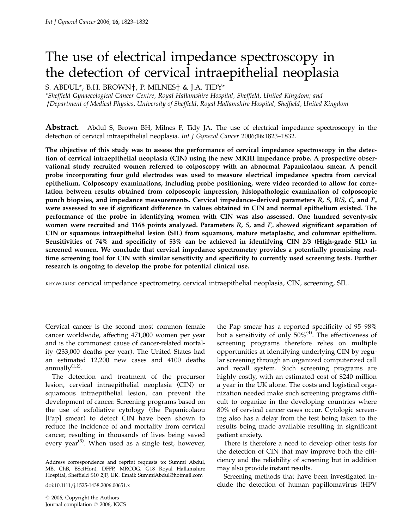# The use of electrical impedance spectroscopy in the detection of cervical intraepithelial neoplasia

S. ABDUL\*, B.H. BROWN†, P. MILNES† & J.A. TIDY\*

\*Sheffield Gynaecological Cancer Centre, Royal Hallamshire Hospital, Sheffield, United Kingdom; and yDepartment of Medical Physics, University of Sheffield, Royal Hallamshire Hospital, Sheffield, United Kingdom

**Abstract.** Abdul S, Brown BH, Milnes P, Tidy JA. The use of electrical impedance spectroscopy in the detection of cervical intraepithelial neoplasia. Int J Gynecol Cancer 2006;16:1823–1832.

The objective of this study was to assess the performance of cervical impedance spectroscopy in the detection of cervical intraepithelial neoplasia (CIN) using the new MKIII impedance probe. A prospective observational study recruited women referred to colposcopy with an abnormal Papanicolaou smear. A pencil probe incorporating four gold electrodes was used to measure electrical impedance spectra from cervical epithelium. Colposcopy examinations, including probe positioning, were video recorded to allow for correlation between results obtained from colposcopic impression, histopathologic examination of colposcopic punch biopsies, and impedance measurements. Cervical impedance–derived parameters R, S, R/S, C, and  $F_c$ were assessed to see if significant difference in values obtained in CIN and normal epithelium existed. The performance of the probe in identifying women with CIN was also assessed. One hundred seventy-six women were recruited and 1168 points analyzed. Parameters  $R$ ,  $S$ , and  $F<sub>c</sub>$  showed significant separation of CIN or squamous intraepithelial lesion (SIL) from squamous, mature metaplastic, and columnar epithelium. Sensitivities of 74% and specificity of 53% can be achieved in identifying CIN 2/3 (High-grade SIL) in screened women. We conclude that cervical impedance spectrometry provides a potentially promising realtime screening tool for CIN with similar sensitivity and specificity to currently used screening tests. Further research is ongoing to develop the probe for potential clinical use.

KEYWORDS: cervical impedance spectrometry, cervical intraepithelial neoplasia, CIN, screening, SIL.

Cervical cancer is the second most common female cancer worldwide, affecting 471,000 women per year and is the commonest cause of cancer-related mortality (233,000 deaths per year). The United States had an estimated 12,200 new cases and 4100 deaths annually $(1,2)$ .

The detection and treatment of the precursor lesion, cervical intraepithelial neoplasia (CIN) or squamous intraepithelial lesion, can prevent the development of cancer. Screening programs based on the use of exfoliative cytology (the Papanicolaou [Pap] smear) to detect CIN have been shown to reduce the incidence of and mortality from cervical cancer, resulting in thousands of lives being saved every year<sup>(3)</sup>. When used as a single test, however,

Address correspondence and reprint requests to: Summi Abdul, MB, ChB, BSc(Hon), DFFP, MRCOG, G18 Royal Hallamshire Hospital, Sheffield S10 2JF, UK. Email: SummiAbdul@hotmail.com

doi:10.1111/j.1525-1438.2006.00651.x

the Pap smear has a reported specificity of 95–98% but a sensitivity of only  $50\%$ <sup>(4)</sup>. The effectiveness of screening programs therefore relies on multiple opportunities at identifying underlying CIN by regular screening through an organized computerized call and recall system. Such screening programs are highly costly, with an estimated cost of \$240 million a year in the UK alone. The costs and logistical organization needed make such screening programs difficult to organize in the developing countries where 80% of cervical cancer cases occur. Cytologic screening also has a delay from the test being taken to the results being made available resulting in significant patient anxiety.

There is therefore a need to develop other tests for the detection of CIN that may improve both the efficiency and the reliability of screening but in addition may also provide instant results.

Screening methods that have been investigated include the detection of human papillomavirus (HPV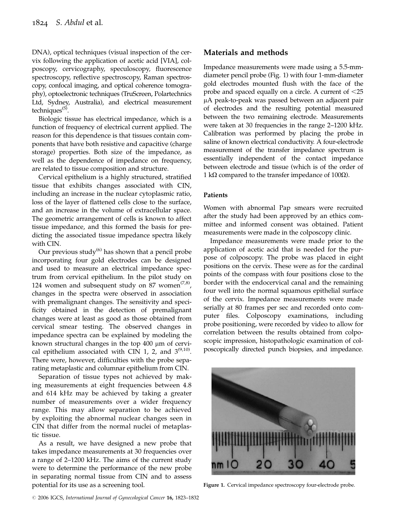DNA), optical techniques (visual inspection of the cervix following the application of acetic acid [VIA], colposcopy, cervicography, speculoscopy, fluorescence spectroscopy, reflective spectroscopy, Raman spectroscopy, confocal imaging, and optical coherence tomography), optoelectronic techniques (TruScreen, Polartechnics Ltd, Sydney, Australia), and electrical measurement techniques<sup>(5)</sup>.

Biologic tissue has electrical impedance, which is a function of frequency of electrical current applied. The reason for this dependence is that tissues contain components that have both resistive and capacitive (charge storage) properties. Both size of the impedance, as well as the dependence of impedance on frequency, are related to tissue composition and structure.

Cervical epithelium is a highly structured, stratified tissue that exhibits changes associated with CIN, including an increase in the nuclear cytoplasmic ratio, loss of the layer of flattened cells close to the surface, and an increase in the volume of extracellular space. The geometric arrangement of cells is known to affect tissue impedance, and this formed the basis for predicting the associated tissue impedance spectra likely with CIN.

Our previous study<sup>(6)</sup> has shown that a pencil probe incorporating four gold electrodes can be designed and used to measure an electrical impedance spectrum from cervical epithelium. In the pilot study on 124 women and subsequent study on 87 women<sup> $(7,8)$ </sup>, changes in the spectra were observed in association with premalignant changes. The sensitivity and specificity obtained in the detection of premalignant changes were at least as good as those obtained from cervical smear testing. The observed changes in impedance spectra can be explained by modeling the known structural changes in the top  $400 \mu m$  of cervical epithelium associated with CIN 1, 2, and  $3^{(9,10)}$ . There were, however, difficulties with the probe separating metaplastic and columnar epithelium from CIN.

Separation of tissue types not achieved by making measurements at eight frequencies between 4.8 and 614 kHz may be achieved by taking a greater number of measurements over a wider frequency range. This may allow separation to be achieved by exploiting the abnormal nuclear changes seen in CIN that differ from the normal nuclei of metaplastic tissue.

As a result, we have designed a new probe that takes impedance measurements at 30 frequencies over a range of 2–1200 kHz. The aims of the current study were to determine the performance of the new probe in separating normal tissue from CIN and to assess potential for its use as a screening tool.

# Materials and methods

Impedance measurements were made using a 5.5-mmdiameter pencil probe (Fig. 1) with four 1-mm-diameter gold electrodes mounted flush with the face of the probe and spaced equally on a circle. A current of  $<$ 25 lA peak-to-peak was passed between an adjacent pair of electrodes and the resulting potential measured between the two remaining electrode. Measurements were taken at 30 frequencies in the range 2–1200 kHz. Calibration was performed by placing the probe in saline of known electrical conductivity. A four-electrode measurement of the transfer impedance spectrum is essentially independent of the contact impedance between electrode and tissue (which is of the order of 1 k $\Omega$  compared to the transfer impedance of 100 $\Omega$ ).

### Patients

Women with abnormal Pap smears were recruited after the study had been approved by an ethics committee and informed consent was obtained. Patient measurements were made in the colposcopy clinic.

Impedance measurements were made prior to the application of acetic acid that is needed for the purpose of colposcopy. The probe was placed in eight positions on the cervix. These were as for the cardinal points of the compass with four positions close to the border with the endocervical canal and the remaining four well into the normal squamous epithelial surface of the cervix. Impedance measurements were made serially at 80 frames per sec and recorded onto computer files. Colposcopy examinations, including probe positioning, were recorded by video to allow for correlation between the results obtained from colposcopic impression, histopathologic examination of colposcopically directed punch biopsies, and impedance.



Figure 1. Cervical impedance spectroscopy four-electrode probe.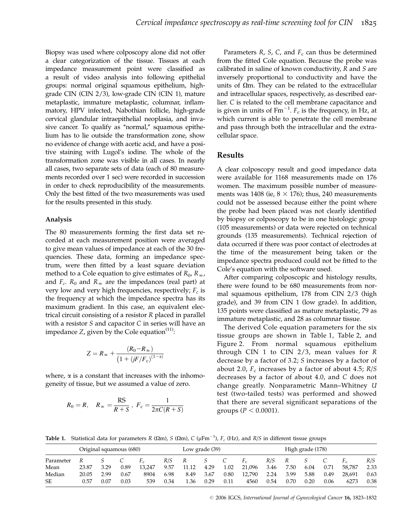Biopsy was used where colposcopy alone did not offer a clear categorization of the tissue. Tissues at each impedance measurement point were classified as a result of video analysis into following epithelial groups: normal original squamous epithelium, highgrade CIN (CIN 2/3), low-grade CIN (CIN 1), mature metaplastic, immature metaplastic, columnar, inflammatory, HPV infected, Nabothian follicle, high-grade cervical glandular intraepithelial neoplasia, and invasive cancer. To qualify as "normal," squamous epithelium has to lie outside the transformation zone, show no evidence of change with acetic acid, and have a positive staining with Lugol's iodine. The whole of the transformation zone was visible in all cases. In nearly all cases, two separate sets of data (each of 80 measurements recorded over 1 sec) were recorded in succession in order to check reproducibility of the measurements. Only the best fitted of the two measurements was used for the results presented in this study.

### Analysis

The 80 measurements forming the first data set recorded at each measurement position were averaged to give mean values of impedance at each of the 30 frequencies. These data, forming an impedance spectrum, were then fitted by a least square deviation method to a Cole equation to give estimates of  $R_0$ ,  $R_\infty$ , and  $F_c$ .  $R_0$  and  $R_\infty$  are the impedances (real part) at very low and very high frequencies, respectively;  $F_c$  is the frequency at which the impedance spectra has its maximum gradient. In this case, an equivalent electrical circuit consisting of a resistor R placed in parallel with a resistor  $S$  and capacitor  $C$  in series will have an impedance  $Z$ , given by the Cole equation<sup> $(11)$ </sup>:

$$
Z = R_{\infty} + \frac{(R_0 - R_{\infty})}{\left(1 + \left(jF/F_c\right)^{(1-\alpha)}\right)}
$$

where,  $\alpha$  is a constant that increases with the inhomogeneity of tissue, but we assumed a value of zero.

$$
R_0 = R
$$
,  $R_{\infty} = \frac{\text{RS}}{R + S}$ ,  $F_c = \frac{1}{2\pi C(R + S)}$ 

Parameters  $R$ ,  $S$ ,  $C$ , and  $F_c$  can thus be determined from the fitted Cole equation. Because the probe was calibrated in saline of known conductivity,  $R$  and  $S$  are inversely proportional to conductivity and have the units of  $\Omega$ m. They can be related to the extracellular and intracellular spaces, respectively, as described earlier. C is related to the cell membrane capacitance and is given in units of  $\text{Fm}^{-1}$ .  $F_{\text{c}}$  is the frequency, in Hz, at which current is able to penetrate the cell membrane and pass through both the intracellular and the extracellular space.

## Results

A clear colposcopy result and good impedance data were available for 1168 measurements made on 176 women. The maximum possible number of measurements was 1408 (ie,  $8 \times 176$ ); thus, 240 measurements could not be assessed because either the point where the probe had been placed was not clearly identified by biopsy or colposcopy to be in one histologic group (105 measurements) or data were rejected on technical grounds (135 measurements). Technical rejection of data occurred if there was poor contact of electrodes at the time of the measurement being taken or the impedance spectra produced could not be fitted to the Cole's equation with the software used.

After comparing colposcopic and histology results, there were found to be 680 measurements from normal squamous epithelium, 178 from CIN 2/3 (high grade), and 39 from CIN 1 (low grade). In addition, 135 points were classified as mature metaplastic, 79 as immature metaplastic, and 28 as columnar tissue.

The derived Cole equation parameters for the six tissue groups are shown in Table 1, Table 2, and Figure 2. From normal squamous epithelium through CIN 1 to CIN  $2/3$ , mean values for R decrease by a factor of 3.2; S increases by a factor of about 2.0,  $F_c$  increases by a factor of about 4.5;  $R/S$ decreases by a factor of about 4.0, and C does not change greatly. Nonparametric Mann–Whitney U test (two-tailed tests) was performed and showed that there are several significant separations of the groups ( $P < 0.0001$ ).

Table 1. Statistical data for parameters R ( $\Omega$ m), S ( $\Omega$ m), C ( $\mu$ Fm<sup>-1</sup>), F<sub>c</sub> (Hz), and R/S in different tissue groups

|           |       |      | Original squamous (680) |        |      |       | Low grade $(39)$ |      |              |      |      | High grade (178) |      |        |      |
|-----------|-------|------|-------------------------|--------|------|-------|------------------|------|--------------|------|------|------------------|------|--------|------|
| Parameter | R     |      |                         |        | R/S  | R     |                  |      | $F_{\alpha}$ | R/S  | R    |                  |      |        | R/S  |
| Mean      | 23.87 | 3.29 | 0.89                    | 13.247 | 9.57 | 11.12 | 4.29             | 1.02 | 21,096       | 3.46 | 7.50 | 6.04             | 0.71 | 58.787 | 2.33 |
| Median    | 20.05 | 2.99 | 0.67                    | 8904   | 6.98 | 8.49  | 3.67             | 0.80 | 12,790       | 2.24 | 3.99 | 5.88             | 0.49 | 28.691 | 0.63 |
| <b>SE</b> | 0.57  | 0.07 | 0.03                    | 539    | 0.34 | 1.36  | 0.29             | 0.11 | 4560         | 0.54 | 0.70 | 0.20             | 0.06 | 6273   | 0.38 |

 $©$  2006 IGCS, International Journal of Gynecological Cancer 16, 1823-1832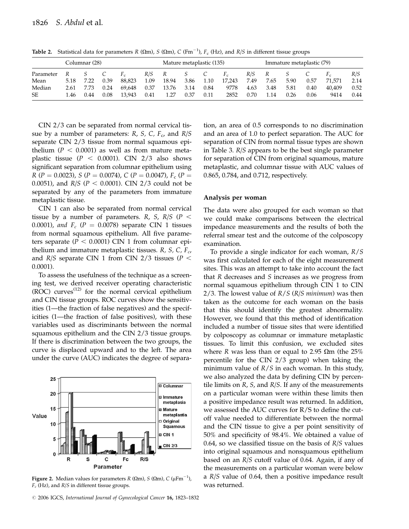|           | Columnar (28) |      |      |        | Mature metaplastic (135) |       |      |      | Immature metaplastic (79) |      |      |      |      |        |      |
|-----------|---------------|------|------|--------|--------------------------|-------|------|------|---------------------------|------|------|------|------|--------|------|
| Parameter | - R           |      |      |        | R/S                      | R     |      | C.   | $F_{\alpha}$              | R/S  | R    |      |      |        | R/S  |
| Mean      | 5.18          | 7.22 | 0.39 | 88.823 | 1.09                     | 18.94 | 3.86 | 1.10 | 17.243                    | 7.49 | 7.65 | 5.90 | 0.57 | 71.571 | 2.14 |
| Median    | 2.61          | 7.73 | 0.24 | 69.648 | 0.37                     | 13.76 | 3.14 | 0.84 | 9778                      | 4.63 | 3.48 | 5.81 | 0.40 | 40.409 | 0.52 |
| <b>SE</b> | 1.46          | 0.44 | 0.08 | 13.943 | 0.41                     | 1.27  | 0.37 | 0.11 | 2852                      | 0.70 | 1.14 | 0.26 | 0.06 | 9414   | 0.44 |

Table 2. Statistical data for parameters R ( $\Omega$ m), S ( $\Omega$ m), C (Fm<sup>-1</sup>), F<sub>c</sub> (Hz), and R/S in different tissue groups

CIN 2/3 can be separated from normal cervical tissue by a number of parameters:  $R$ ,  $S$ ,  $C$ ,  $F_c$ , and  $R/S$ separate CIN 2/3 tissue from normal squamous epithelium ( $P < 0.0001$ ) as well as from mature metaplastic tissue ( $P < 0.0001$ ). CIN 2/3 also shows significant separation from columnar epithelium using R (P = 0.0023), S (P = 0.0074), C (P = 0.0047),  $F_c$  (P = 0.0051), and  $R/S$  ( $P < 0.0001$ ). CIN 2/3 could not be separated by any of the parameters from immature metaplastic tissue.

CIN 1 can also be separated from normal cervical tissue by a number of parameters. R, S, R/S ( $P$  < 0.0001), and  $F_c$  (P = 0.0078) separate CIN 1 tissues from normal squamous epithelium. All five parameters separate ( $P < 0.0001$ ) CIN 1 from columnar epithelium and immature metaplastic tissues.  $R$ ,  $S$ ,  $C$ ,  $F_c$ , and  $R/S$  separate CIN 1 from CIN 2/3 tissues ( $P <$ 0.0001).

To assess the usefulness of the technique as a screening test, we derived receiver operating characteristic (ROC) curves $^{(12)}$  for the normal cervical epithelium and CIN tissue groups. ROC curves show the sensitivities (1—the fraction of false negatives) and the specificities (1—the fraction of false positives), with these variables used as discriminants between the normal squamous epithelium and the CIN 2/3 tissue groups. If there is discrimination between the two groups, the curve is displaced upward and to the left. The area under the curve (AUC) indicates the degree of separa-



Figure 2. Median values for parameters  $R(\Omega m)$ ,  $S(\Omega m)$ ,  $C(\mu Fm^{-1})$ ,  $F_c$  (Hz), and  $R/S$  in different tissue groups.

 $©$  2006 IGCS, International Journal of Gynecological Cancer 16, 1823-1832

tion, an area of 0.5 corresponds to no discrimination and an area of 1.0 to perfect separation. The AUC for separation of CIN from normal tissue types are shown in Table 3. R/S appears to be the best single parameter for separation of CIN from original squamous, mature metaplastic, and columnar tissue with AUC values of 0.865, 0.784, and 0.712, respectively.

#### Analysis per woman

The data were also grouped for each woman so that we could make comparisons between the electrical impedance measurements and the results of both the referral smear test and the outcome of the colposcopy examination.

To provide a single indicator for each woman, R/S was first calculated for each of the eight measurement sites. This was an attempt to take into account the fact that  *decreases and*  $*S*$  *increases as we progress from* normal squamous epithelium through CIN 1 to CIN 2/3. The lowest value of  $R/S$  ( $R/S$  minimum) was then taken as the outcome for each woman on the basis that this should identify the greatest abnormality. However, we found that this method of identification included a number of tissue sites that were identified by colposcopy as columnar or immature metaplastic tissues. To limit this confusion, we excluded sites where R was less than or equal to 2.95  $\Omega$ m (the 25% percentile for the CIN 2/3 group) when taking the minimum value of  $R/S$  in each woman. In this study, we also analyzed the data by defining CIN by percentile limits on  $R$ ,  $S$ , and  $R/S$ . If any of the measurements on a particular woman were within these limits then a positive impedance result was returned. In addition, we assessed the AUC curves for R/S to define the cutoff value needed to differentiate between the normal and the CIN tissue to give a per point sensitivity of 50% and specificity of 98.4%. We obtained a value of 0.64, so we classified tissue on the basis of  $R/S$  values into original squamous and nonsquamous epithelium based on an R/S cutoff value of 0.64. Again, if any of the measurements on a particular woman were below a R/S value of 0.64, then a positive impedance result was returned.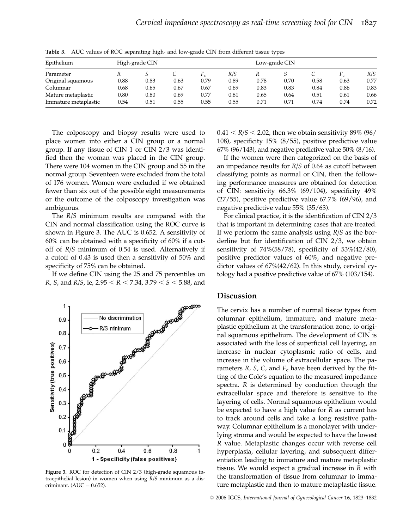| Epithelium           | High-grade CIN |          |      |         |      |      | Low-grade CIN |      |      |      |  |
|----------------------|----------------|----------|------|---------|------|------|---------------|------|------|------|--|
| Parameter            |                |          |      | $F_{c}$ | R/S  |      |               |      |      | R/S  |  |
| Original squamous    | 0.88           | 0.83     | 0.63 | 0.79    | 0.89 | 0.78 | 0.70          | 0.58 | 0.63 | 0.77 |  |
| Columnar             | 0.68           | 0.65     | 0.67 | 0.67    | 0.69 | 0.83 | 0.83          | 0.84 | 0.86 | 0.83 |  |
| Mature metaplastic   | 0.80           | $0.80\,$ | 0.69 | 0.77    | 0.81 | 0.65 | 0.64          | 0.51 | 0.61 | 0.66 |  |
| Immature metaplastic | 0.54           | $0.51\,$ | 0.55 | 0.55    | 0.55 | 0.71 | $0.71\,$      | 0.74 | 0.74 | 0.72 |  |

Table 3. AUC values of ROC separating high- and low-grade CIN from different tissue types

The colposcopy and biopsy results were used to place women into either a CIN group or a normal group. If any tissue of CIN 1 or CIN 2/3 was identified then the woman was placed in the CIN group. There were 104 women in the CIN group and 55 in the normal group. Seventeen were excluded from the total of 176 women. Women were excluded if we obtained fewer than six out of the possible eight measurements or the outcome of the colposcopy investigation was ambiguous.

The R/S minimum results are compared with the CIN and normal classification using the ROC curve is shown in Figure 3. The AUC is 0.652. A sensitivity of 60% can be obtained with a specificity of 60% if a cutoff of R/S minimum of 0.54 is used. Alternatively if a cutoff of 0.43 is used then a sensitivity of 50% and specificity of 75% can be obtained.

If we define CIN using the 25 and 75 percentiles on *R*, *S*, and *R*/*S*, ie, 2.95 < *R* < 7.34, 3.79 < *S* < 5.88, and



Figure 3. ROC for detection of CIN 2/3 (high-grade squamous intraepithelial lesion) in women when using  $R/S$  minimum as a discriminant. ( $AUC = 0.652$ ).

 $0.41 < R/S < 2.02$ , then we obtain sensitivity 89% (96/ 108), specificity 15% (8/55), positive predictive value 67% (96/143), and negative predictive value 50% (8/16).

If the women were then categorized on the basis of an impedance results for  $R/S$  of 0.64 as cutoff between classifying points as normal or CIN, then the following performance measures are obtained for detection of CIN: sensitivity 66.3% (69/104), specificity 49%  $(27/55)$ , positive predictive value 67.7%  $(69/96)$ , and negative predictive value 55% (35/63).

For clinical practice, it is the identification of CIN 2/3 that is important in determining cases that are treated. If we perform the same analysis using  $R/S$  as the borderline but for identification of CIN 2/3, we obtain sensitivity of 74%(58/78), specificity of 53%(42/80), positive predictor values of 60%, and negative predictor values of 67%(42/62). In this study, cervical cytology had a positive predictive value of 67% (103/154).

## Discussion

The cervix has a number of normal tissue types from columnar epithelium, immature, and mature metaplastic epithelium at the transformation zone, to original squamous epithelium. The development of CIN is associated with the loss of superficial cell layering, an increase in nuclear cytoplasmic ratio of cells, and increase in the volume of extracellular space. The parameters  $R$ ,  $S$ ,  $C$ , and  $F_c$  have been derived by the fitting of the Cole's equation to the measured impedance spectra.  $R$  is determined by conduction through the extracellular space and therefore is sensitive to the layering of cells. Normal squamous epithelium would be expected to have a high value for R as current has to track around cells and take a long resistive pathway. Columnar epithelium is a monolayer with underlying stroma and would be expected to have the lowest R value. Metaplastic changes occur with reverse cell hyperplasia, cellular layering, and subsequent differentiation leading to immature and mature metaplastic tissue. We would expect a gradual increase in R with the transformation of tissue from columnar to immature metaplastic and then to mature metaplastic tissue.

 $©$  2006 IGCS, International Journal of Gynecological Cancer 16, 1823-1832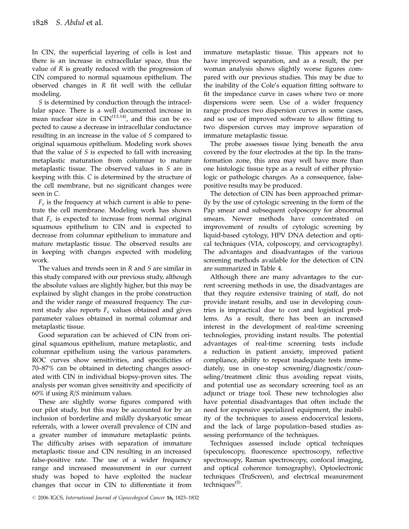In CIN, the superficial layering of cells is lost and there is an increase in extracellular space, thus the value of  $R$  is greatly reduced with the progression of CIN compared to normal squamous epithelium. The observed changes in R fit well with the cellular modeling.

S is determined by conduction through the intracellular space. There is a well documented increase in mean nuclear size in  $\text{CIN}^{(13,14)}$ , and this can be expected to cause a decrease in intracellular conductance resulting in an increase in the value of S compared to original squamous epithelium. Modeling work shows that the value of  $S$  is expected to fall with increasing metaplastic maturation from columnar to mature metaplastic tissue. The observed values in S are in keeping with this. C is determined by the structure of the cell membrane, but no significant changes were seen in C.

 $F_c$  is the frequency at which current is able to penetrate the cell membrane. Modeling work has shown that  $F_c$  is expected to increase from normal original squamous epithelium to CIN and is expected to decrease from columnar epithelium to immature and mature metaplastic tissue. The observed results are in keeping with changes expected with modeling work.

The values and trends seen in R and S are similar in this study compared with our previous study, although the absolute values are slightly higher, but this may be explained by slight changes in the probe construction and the wider range of measured frequency. The current study also reports  $F_c$  values obtained and gives parameter values obtained in normal columnar and metaplastic tissue.

Good separation can be achieved of CIN from original squamous epithelium, mature metaplastic, and columnar epithelium using the various parameters. ROC curves show sensitivities, and specificities of 70–87% can be obtained in detecting changes associated with CIN in individual biopsy-proven sites. The analysis per woman gives sensitivity and specificity of 60% if using  $R/S$  minimum values.

These are slightly worse figures compared with our pilot study, but this may be accounted for by an inclusion of borderline and mildly dyskaryotic smear referrals, with a lower overall prevalence of CIN and a greater number of immature metaplastic points. The difficulty arises with separation of immature metaplastic tissue and CIN resulting in an increased false-positive rate. The use of a wider frequency range and increased measurement in our current study was hoped to have exploited the nuclear changes that occur in CIN to differentiate it from immature metaplastic tissue. This appears not to have improved separation, and as a result, the per woman analysis shows slightly worse figures compared with our previous studies. This may be due to the inability of the Cole's equation fitting software to fit the impedance curve in cases where two or more dispersions were seen. Use of a wider frequency range produces two dispersion curves in some cases, and so use of improved software to allow fitting to two dispersion curves may improve separation of immature metaplastic tissue.

The probe assesses tissue lying beneath the area covered by the four electrodes at the tip. In the transformation zone, this area may well have more than one histologic tissue type as a result of either physiologic or pathologic changes. As a consequence, falsepositive results may be produced.

The detection of CIN has been approached primarily by the use of cytologic screening in the form of the Pap smear and subsequent colposcopy for abnormal smears. Newer methods have concentrated on improvement of results of cytologic screening by liquid-based cytology, HPV DNA detection and optical techniques (VIA, colposcopy, and cervicography). The advantages and disadvantages of the various screening methods available for the detection of CIN are summarized in Table 4.

Although there are many advantages to the current screening methods in use, the disadvantages are that they require extensive training of staff, do not provide instant results, and use in developing countries is impractical due to cost and logistical problems. As a result, there has been an increased interest in the development of real-time screening technologies, providing instant results. The potential advantages of real-time screening tests include a reduction in patient anxiety, improved patient compliance, ability to repeat inadequate tests immediately, use in one-stop screening/diagnostic/counseling/treatment clinic thus avoiding repeat visits, and potential use as secondary screening tool as an adjunct or triage tool. These new technologies also have potential disadvantages that often include the need for expensive specialized equipment, the inability of the techniques to assess endocervical lesions, and the lack of large population–based studies assessing performance of the techniques.

Techniques assessed include optical techniques (speculoscopy, fluorescence spectroscopy, reflective spectroscopy, Raman spectroscopy, confocal imaging, and optical coherence tomography), Optoelectronic techniques (TruScreen), and electrical measurement  $techniques<sup>(5)</sup>$ .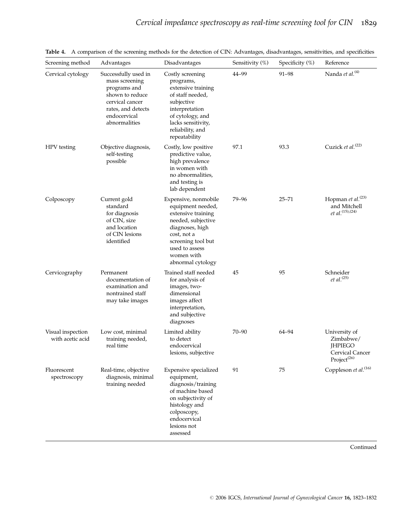| Screening method                      | Advantages                                                                                                                                          | Disadvantages                                                                                                                                                                                      | Sensitivity $(\%)$ | Specificity (%) | Reference                                                                                  |
|---------------------------------------|-----------------------------------------------------------------------------------------------------------------------------------------------------|----------------------------------------------------------------------------------------------------------------------------------------------------------------------------------------------------|--------------------|-----------------|--------------------------------------------------------------------------------------------|
| Cervical cytology                     | Successfully used in<br>mass screening<br>programs and<br>shown to reduce<br>cervical cancer<br>rates, and detects<br>endocervical<br>abnormalities | Costly screening<br>programs,<br>extensive training<br>of staff needed,<br>subjective<br>interpretation<br>of cytology, and<br>lacks sensitivity,<br>reliability, and<br>repeatability             | 44-99              | 91-98           | Nanda et al. <sup>(4)</sup>                                                                |
| HPV testing                           | Objective diagnosis,<br>self-testing<br>possible                                                                                                    | Costly, low positive<br>predictive value,<br>high prevalence<br>in women with<br>no abnormalities,<br>and testing is<br>lab dependent                                                              | 97.1               | 93.3            | Cuzick et al. <sup>(22)</sup>                                                              |
| Colposcopy                            | Current gold<br>standard<br>for diagnosis<br>of CIN, size<br>and location<br>of CIN lesions<br>identified                                           | Expensive, nonmobile<br>equipment needed,<br>extensive training<br>needed, subjective<br>diagnoses, high<br>cost, not a<br>screening tool but<br>used to assess<br>women with<br>abnormal cytology | 79–96              | $25 - 71$       | Hopman et al. <sup>(23)</sup><br>and Mitchell<br>et al. <sup>(15)</sup> ,(24)              |
| Cervicography                         | Permanent<br>documentation of<br>examination and<br>nontrained staff<br>may take images                                                             | Trained staff needed<br>for analysis of<br>images, two-<br>dimensional<br>images affect<br>interpretation,<br>and subjective<br>diagnoses                                                          | 45                 | 95              | Schneider<br>et al. $^{(25)}$                                                              |
| Visual inspection<br>with acetic acid | Low cost, minimal<br>training needed,<br>real time                                                                                                  | Limited ability<br>to detect<br>endocervical<br>lesions, subjective                                                                                                                                | $70 - 90$          | 64–94           | University of<br>Zimbabwe/<br><b>IHPIEGO</b><br>Cervical Cancer<br>Project <sup>(26)</sup> |
| Fluorescent<br>spectroscopy           | Real-time, objective<br>diagnosis, minimal<br>training needed                                                                                       | Expensive specialized<br>equipment,<br>diagnosis/training<br>of machine based<br>on subjectivity of<br>histology and<br>colposcopy,<br>endocervical<br>lesions not<br>assessed                     | 91                 | 75              | Coppleson et al. <sup>(16)</sup>                                                           |

|  | Table 4. A comparison of the screening methods for the detection of CIN: Advantages, disadvantages, sensitivities, and specificities |  |  |  |  |
|--|--------------------------------------------------------------------------------------------------------------------------------------|--|--|--|--|
|--|--------------------------------------------------------------------------------------------------------------------------------------|--|--|--|--|

Continued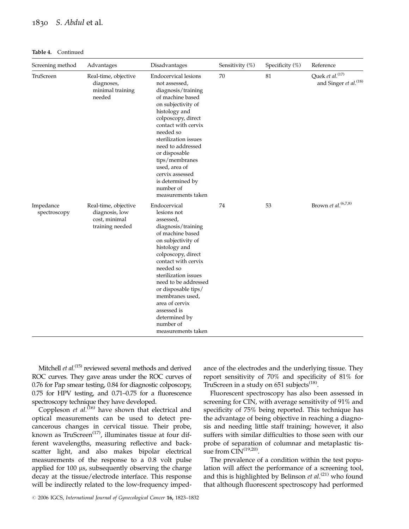# 1830 S. Abdul et al.

#### Table 4. Continued

| Screening method          | Advantages                                                                 | Disadvantages                                                                                                                                                                                                                                                                                                                                                      | Sensitivity (%) | Specificity (%) | Reference                                                        |
|---------------------------|----------------------------------------------------------------------------|--------------------------------------------------------------------------------------------------------------------------------------------------------------------------------------------------------------------------------------------------------------------------------------------------------------------------------------------------------------------|-----------------|-----------------|------------------------------------------------------------------|
| TruScreen                 | Real-time, objective<br>diagnoses,<br>minimal training<br>needed           | <b>Endocervical lesions</b><br>not assessed,<br>diagnosis/training<br>of machine based<br>on subjectivity of<br>histology and<br>colposcopy, direct<br>contact with cervix<br>needed so<br>sterilization issues<br>need to addressed<br>or disposable<br>tips/membranes<br>used, area of<br>cervix assessed<br>is determined by<br>number of<br>measurements taken | 70              | 81              | Quek et al. <sup>(17)</sup><br>and Singer et al. <sup>(18)</sup> |
| Impedance<br>spectroscopy | Real-time, objective<br>diagnosis, low<br>cost, minimal<br>training needed | Endocervical<br>lesions not<br>assessed,<br>diagnosis/training<br>of machine based<br>on subjectivity of<br>histology and<br>colposcopy, direct<br>contact with cervix<br>needed so<br>sterilization issues<br>need to be addressed<br>or disposable tips/<br>membranes used,<br>area of cervix<br>assessed is<br>determined by<br>number of<br>measurements taken | 74              | 53              | Brown et al. <sup>(6,7,8)</sup>                                  |

Mitchell et al.<sup>(15)</sup> reviewed several methods and derived ROC curves. They gave areas under the ROC curves of 0.76 for Pap smear testing, 0.84 for diagnostic colposcopy, 0.75 for HPV testing, and 0.71–0.75 for a fluorescence spectroscopy technique they have developed.

Coppleson et  $al$ .<sup>(16)</sup> have shown that electrical and optical measurements can be used to detect precancerous changes in cervical tissue. Their probe, known as TruScreen $^{(17)}$ , illuminates tissue at four different wavelengths, measuring reflective and backscatter light, and also makes bipolar electrical measurements of the response to a 0.8 volt pulse applied for  $100 \mu s$ , subsequently observing the charge decay at the tissue/electrode interface. This response will be indirectly related to the low-frequency impedance of the electrodes and the underlying tissue. They report sensitivity of 70% and specificity of 81% for TruScreen in a study on  $651$  subjects<sup> $(18)$ </sup>.

Fluorescent spectroscopy has also been assessed in screening for CIN, with average sensitivity of 91% and specificity of 75% being reported. This technique has the advantage of being objective in reaching a diagnosis and needing little staff training; however, it also suffers with similar difficulties to those seen with our probe of separation of columnar and metaplastic tissue from  $CIN^{(19,20)}$ .

The prevalence of a condition within the test population will affect the performance of a screening tool, and this is highlighted by Belinson et  $al.^{(21)}$  who found that although fluorescent spectroscopy had performed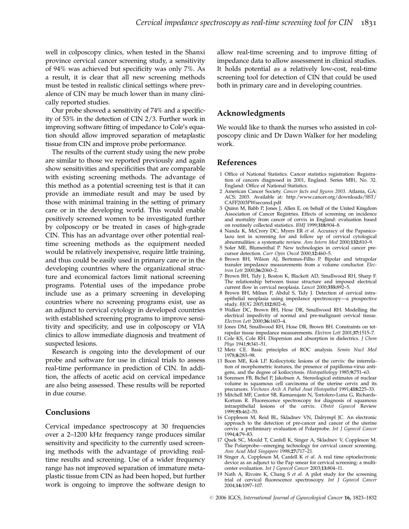well in colposcopy clinics, when tested in the Shanxi province cervical cancer screening study, a sensitivity of 94% was achieved but specificity was only 7%. As a result, it is clear that all new screening methods must be tested in realistic clinical settings where prevalence of CIN may be much lower than in many clinically reported studies.

Our probe showed a sensitivity of 74% and a specificity of 53% in the detection of CIN 2/3. Further work in improving software fitting of impedance to Cole's equation should allow improved separation of metaplastic tissue from CIN and improve probe performance.

The results of the current study using the new probe are similar to those we reported previously and again show sensitivities and specificities that are comparable with existing screening methods. The advantage of this method as a potential screening test is that it can provide an immediate result and may be used by those with minimal training in the setting of primary care or in the developing world. This would enable positively screened women to be investigated further by colposcopy or be treated in cases of high-grade CIN. This has an advantage over other potential realtime screening methods as the equipment needed would be relatively inexpensive, require little training, and thus could be easily used in primary care or in the developing countries where the organizational structure and economical factors limit national screening programs. Potential uses of the impedance probe include use as a primary screening in developing countries where no screening programs exist, use as an adjunct to cervical cytology in developed countries with established screening programs to improve sensitivity and specificity, and use in colposcopy or VIA clinics to allow immediate diagnosis and treatment of suspected lesions.

Research is ongoing into the development of our probe and software for use in clinical trials to assess real-time performance in prediction of CIN. In addition, the affects of acetic acid on cervical impedance are also being assessed. These results will be reported in due course.

# **Conclusions**

Cervical impedance spectroscopy at 30 frequencies over a 2–1200 kHz frequency range produces similar sensitivity and specificity to the currently used screening methods with the advantage of providing realtime results and screening. Use of a wider frequency range has not improved separation of immature metaplastic tissue from CIN as had been hoped, but further work is ongoing to improve the software design to

allow real-time screening and to improve fitting of impedance data to allow assessment in clinical studies. It holds potential as a relatively low-cost, real-time screening tool for detection of CIN that could be used both in primary care and in developing countries.

## Acknowledgments

We would like to thank the nurses who assisted in colposcopy clinic and Dr Dawn Walker for her modeling work.

## References

- 1 Office of National Statistics. Cancer statistics registration: Registration of cancers diagnosed in 2001, England. Series MB1, No. 32. England: Office of National Statistics.
- 2 American Cancer Society. Cancer facts and figures 2003. Atlanta, GA: ACS; 2003. Available at: http:/www.cancer.org/downloads/SST/ CAFF2003PWsecured.pdf
- 3 Quinn M, Babb P, Jones J, Allen E, on behalf of the United Kingdom Association of Cancer Registries. Effects of screening on incidence and mortality from cancer of cervix in England: evaluation based on routinely collected statistics. BMJ 1999;318:904–8.
- 4 Nanda K, McCrory DC, Myers ER et al. Accuracy of the Papanicolaou test in screening for and follow up of cervical cytological abnormalities: a systematic review. Ann Intern Med 2000;132:810-9.
- 5 Soler ME, Blumenthal P. New technologies in cervical cancer precursor detection. Curr Opin Oncol 2000;12:460-5.
- 6 Brown BH, Wilson AJ, Bertemes-Filho P. Bipolar and tetrapolar transfer impedance measurements from a volume conductor. Electron Lett 2000;36:2060-2.
- 7 Brown BH, Tidy J, Boston K, Blackett AD, Smallwood RH, Sharp F. The relationship between tissue structure and imposed electrical current flow in cervical neoplasia. Lancet 2000;355:892-5.
- 8 Brown BH, Milnes P, Abdul S, Tidy J. Detection of cervical intraepithelial neoplasia using impedance spectroscopy—a prospective study. BJOG 2005;112:802–6.
- 9 Walker DC, Brown BH, Hose DR, Smallwood RH. Modelling the electrical impedivity of normal and pre-malignant cervical tissue. Electron Lett 2000;36:1603–4.
- 10 Jones DM, Smallwood RH, Hose DR, Brown BH. Constraints on tetrapolar tissue impedance measurements. Electron Lett 2001;37:1515-7.
- 11 Cole KS, Cole RH. Dispersion and absorption in dielectrics. J Chem Phys 1941;9:341-51.
- 12 Metz CE. Basic principles of ROC analysis. Semin Nucl Med 1978;8:283–98.
- 13 Boon ME, Kok LP. Koilocytotic lesions of the cervix: the interrelation of morphometric features, the presence of papilloma-virus antigens, and the degree of koilocytosis. Histopathology 1985;9:751-63.
- 14 Sorensen FB, Bichel P, Jakobsen A. Stereological estimates of nuclear volume in squamous cell carcinoma of the uterine cervix and its precursors. Virchows Arch A Pathol Anat Histopathol 1991;418:225-33.
- 15 Mitchell MF, Cantor SB, Ramanujam N, Tortolero-Luna G, Richards-Kortum R. Fluorescence spectroscopy for diagnosis of squamous intraepithelial lesions of the cervix. Obstet Gynecol Review 1999;93:462–70.
- 16 Coppleson M, Reid BL, Skladnev VN, Dalrympl JC. An electronic approach to the detection of pre-cancer and cancer of the uterine cervix: a preliminary evaluation of Polarprobe. Int J Gynecol Cancer 1994;4:79–83.
- 17 Quek SC, Mould T, Canfell K, Singer A, Skladnev V, Coppleson M. The Polarprobe—emerging technology for cervical cancer screening. Ann Acad Med Singapore 1998;27:717–21.
- 18 Singer A, Coppleson M, Canfell K et al. A real time optoelectronic device as an adjunct to the Pap smear for cervical screening: a multicenter evaluation. Int J Gynecol Cancer 2003;13:804-11.
- 19 Nath A, Rivoire K, Chang S et al. A pilot study for the screening trial of cervical fluorescence spectroscopy. Int J Gynecol Cancer 2004;14:1097–107.

 $©$  2006 IGCS, International Journal of Gynecological Cancer 16, 1823-1832